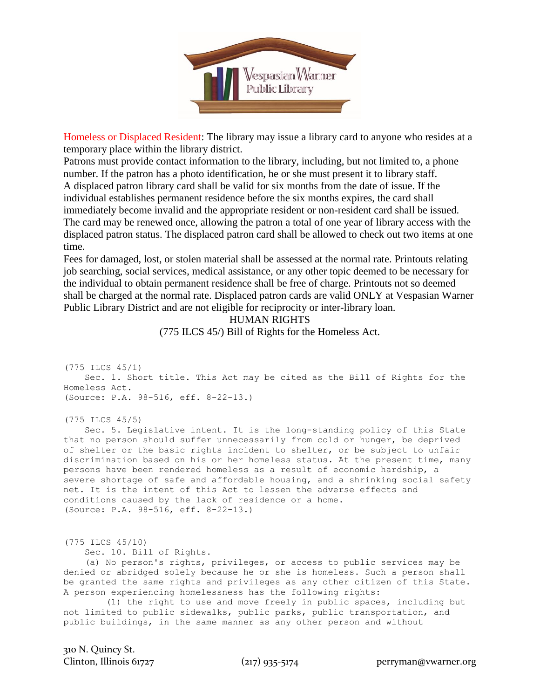

Homeless or Displaced Resident: The library may issue a library card to anyone who resides at a temporary place within the library district.

Patrons must provide contact information to the library, including, but not limited to, a phone number. If the patron has a photo identification, he or she must present it to library staff. A displaced patron library card shall be valid for six months from the date of issue. If the individual establishes permanent residence before the six months expires, the card shall immediately become invalid and the appropriate resident or non-resident card shall be issued. The card may be renewed once, allowing the patron a total of one year of library access with the displaced patron status. The displaced patron card shall be allowed to check out two items at one time.

Fees for damaged, lost, or stolen material shall be assessed at the normal rate. Printouts relating job searching, social services, medical assistance, or any other topic deemed to be necessary for the individual to obtain permanent residence shall be free of charge. Printouts not so deemed shall be charged at the normal rate. Displaced patron cards are valid ONLY at Vespasian Warner Public Library District and are not eligible for reciprocity or inter-library loan.

HUMAN RIGHTS

(775 ILCS 45/) Bill of Rights for the Homeless Act.

```
(775 ILCS 45/1)
     Sec. 1. Short title. This Act may be cited as the Bill of Rights for the 
Homeless Act. 
(Source: P.A. 98-516, eff. 8-22-13.)
```
(775 ILCS 45/5)

 Sec. 5. Legislative intent. It is the long-standing policy of this State that no person should suffer unnecessarily from cold or hunger, be deprived of shelter or the basic rights incident to shelter, or be subject to unfair discrimination based on his or her homeless status. At the present time, many persons have been rendered homeless as a result of economic hardship, a severe shortage of safe and affordable housing, and a shrinking social safety net. It is the intent of this Act to lessen the adverse effects and conditions caused by the lack of residence or a home. (Source: P.A. 98-516, eff. 8-22-13.)

(775 ILCS 45/10)

Sec. 10. Bill of Rights.

 (a) No person's rights, privileges, or access to public services may be denied or abridged solely because he or she is homeless. Such a person shall be granted the same rights and privileges as any other citizen of this State. A person experiencing homelessness has the following rights:

 (1) the right to use and move freely in public spaces, including but not limited to public sidewalks, public parks, public transportation, and public buildings, in the same manner as any other person and without

310 N. Quincy St.